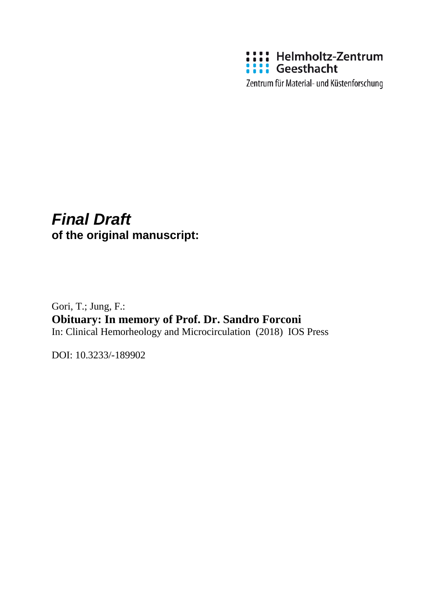

Zentrum für Material- und Küstenforschung

## *Final Draft*  **of the original manuscript:**

Gori, T.; Jung, F.: **Obituary: In memory of Prof. Dr. Sandro Forconi** In: Clinical Hemorheology and Microcirculation (2018) IOS Press

DOI: 10.3233/-189902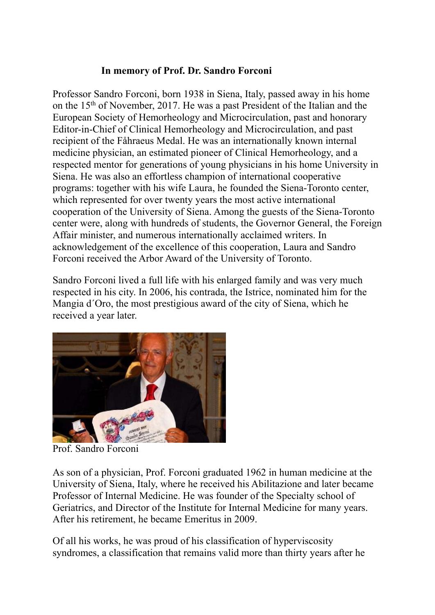## **In memory of Prof. Dr. Sandro Forconi**

Professor Sandro Forconi, born 1938 in Siena, Italy, passed away in his home on the 15th of November, 2017. He was a past President of the Italian and the European Society of Hemorheology and Microcirculation, past and honorary Editor-in-Chief of Clinical Hemorheology and Microcirculation, and past recipient of the Fåhraeus Medal. He was an internationally known internal medicine physician, an estimated pioneer of Clinical Hemorheology, and a respected mentor for generations of young physicians in his home University in Siena. He was also an effortless champion of international cooperative programs: together with his wife Laura, he founded the Siena-Toronto center, which represented for over twenty years the most active international cooperation of the University of Siena. Among the guests of the Siena-Toronto center were, along with hundreds of students, the Governor General, the Foreign Affair minister, and numerous internationally acclaimed writers. In acknowledgement of the excellence of this cooperation, Laura and Sandro Forconi received the Arbor Award of the University of Toronto.

Sandro Forconi lived a full life with his enlarged family and was very much respected in his city. In 2006, his contrada, the Istrice, nominated him for the Mangia d´Oro, the most prestigious award of the city of Siena, which he received a year later.



Prof. Sandro Forconi

As son of a physician, Prof. Forconi graduated 1962 in human medicine at the University of Siena, Italy, where he received his Abilitazione and later became Professor of Internal Medicine. He was founder of the Specialty school of Geriatrics, and Director of the Institute for Internal Medicine for many years. After his retirement, he became Emeritus in 2009.

Of all his works, he was proud of his classification of hyperviscosity syndromes, a classification that remains valid more than thirty years after he